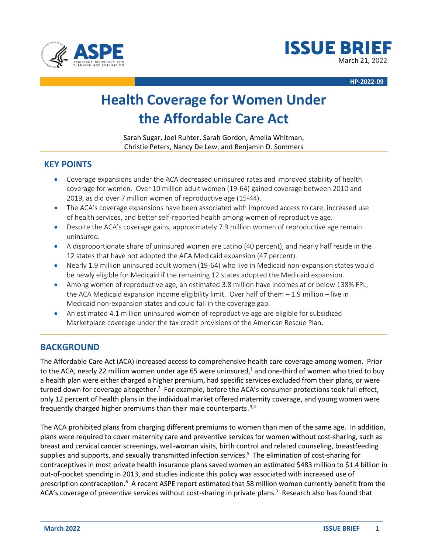



**HP-2022-09**

# **Health Coverage for Women Under the Affordable Care Act**

Sarah Sugar, Joel Ruhter, Sarah Gordon, Amelia Whitman, Christie Peters, Nancy De Lew, and Benjamin D. Sommers

## **KEY POINTS**

- Coverage expansions under the ACA decreased uninsured rates and improved stability of health coverage for women. Over 10 million adult women (19-64) gained coverage between 2010 and 2019, as did over 7 million women of reproductive age (15-44).
- The ACA's coverage expansions have been associated with improved access to care, increased use of health services, and better self-reported health among women of reproductive age.
- Despite the ACA's coverage gains, approximately 7.9 million women of reproductive age remain uninsured.
- A disproportionate share of uninsured women are Latino (40 percent), and nearly half reside in the 12 states that have not adopted the ACA Medicaid expansion (47 percent).
- Nearly 1.9 million uninsured adult women (19-64) who live in Medicaid non-expansion states would be newly eligible for Medicaid if the remaining 12 states adopted the Medicaid expansion.
- Among women of reproductive age, an estimated 3.8 million have incomes at or below 138% FPL, the ACA Medicaid expansion income eligibility limit. Over half of them  $-1.9$  million  $-$  live in Medicaid non-expansion states and could fall in the coverage gap.
- An estimated 4.1 million uninsured women of reproductive age are eligible for subsidized Marketplace coverage under the tax credit provisions of the American Rescue Plan.

# **BACKGROUND**

The Affordable Care Act (ACA) increased access to comprehensive health care coverage among women. Prior to the ACA, nearly 22 million women under age 65 were uninsured,<sup>1</sup> and one-third of women who tried to buy a health plan were either charged a higher premium, had specific services excluded from their plans, or were turned down for coverage altogether.<sup>2</sup> For example, before the ACA's consumer protections took full effect, only 12 percent of health plans in the individual market offered maternity coverage, and young women were frequently charged higher premiums than their male counterparts.<sup>3,4</sup>

The ACA prohibited plans from charging different premiums to women than men of the same age. In addition, plans were required to cover maternity care and preventive services for women without cost-sharing, such as breast and cervical cancer screenings, well-woman visits, birth control and related counseling, breastfeeding supplies and supports, and sexually transmitted infection services.<sup>5</sup> The elimination of cost-sharing for contraceptives in most private health insurance plans saved women an estimated \$483 million to \$1.4 billion in out-of-pocket spending in 2013, and studies indicate this policy was associated with increased use of prescription contraception.<sup>6</sup> A recent ASPE report estimated that 58 million women currently benefit from the ACA's coverage of preventive services without cost-sharing in private plans.<sup>7</sup> Research also has found that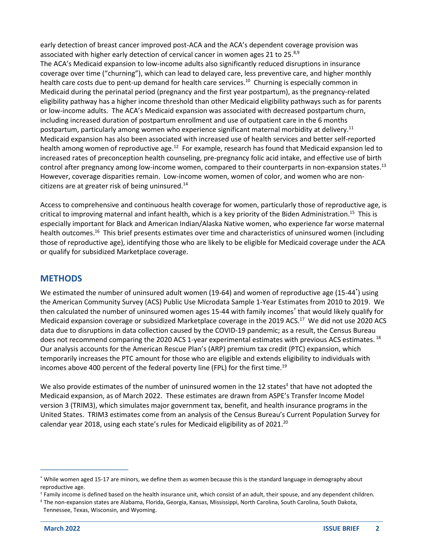early detection of breast cancer improved post-ACA and the ACA's dependent coverage provision was associated with higher early detection of cervical cancer in women ages 21 to 25.8,9 The ACA's Medicaid expansion to low-income adults also significantly reduced disruptions in insurance coverage over time ("churning"), which can lead to delayed care, less preventive care, and higher monthly health care costs due to pent-up demand for health care services.<sup>10</sup> Churning is especially common in Medicaid during the perinatal period (pregnancy and the first year postpartum), as the pregnancy-related eligibility pathway has a higher income threshold than other Medicaid eligibility pathways such as for parents or low-income adults. The ACA's Medicaid expansion was associated with decreased postpartum churn, including increased duration of postpartum enrollment and use of outpatient care in the 6 months postpartum, particularly among women who experience significant maternal morbidity at delivery.<sup>11</sup> Medicaid expansion has also been associated with increased use of health services and better self-reported health among women of reproductive age.<sup>12</sup> For example, research has found that Medicaid expansion led to increased rates of preconception health counseling, pre-pregnancy folic acid intake, and effective use of birth control after pregnancy among low-income women, compared to their counterparts in non-expansion states.<sup>13</sup> However, coverage disparities remain. Low-income women, women of color, and women who are noncitizens are at greater risk of being uninsured. 14

Access to comprehensive and continuous health coverage for women, particularly those of reproductive age, is critical to improving maternal and infant health, which is a key priority of the Biden Administration.<sup>15</sup> This is especially important for Black and American Indian/Alaska Native women, who experience far worse maternal health outcomes.<sup>16</sup> This brief presents estimates over time and characteristics of uninsured women (including those of reproductive age), identifying those who are likely to be eligible for Medicaid coverage under the ACA or qualify for subsidized Marketplace coverage.

# **METHODS**

We estimated the number of uninsured adult women (19-64) and women of reproductive age (15-44<sup>\*</sup>) using the American Community Survey (ACS) Public Use Microdata Sample 1-Year Estimates from 2010 to 2019. We then calculated the number of uninsured women ages 15-44 with family incomes<sup>†</sup> that would likely qualify for Medicaid expansion coverage or subsidized Marketplace coverage in the 2019 ACS.<sup>17</sup> We did not use 2020 ACS data due to disruptions in data collection caused by the COVID-19 pandemic; as a result, the Census Bureau does not recommend comparing the 2020 ACS 1-year experimental estimates with previous ACS estimates. <sup>18</sup> Our analysis accounts for the American Rescue Plan's (ARP) premium tax credit (PTC) expansion, which temporarily increases the PTC amount for those who are eligible and extends eligibility to individuals with incomes above 400 percent of the federal poverty line (FPL) for the first time.<sup>19</sup>

We also provide estimates of the number of uninsured women in the 12 states<sup>‡</sup> that have not adopted the Medicaid expansion, as of March 2022. These estimates are drawn from ASPE's Transfer Income Model version 3 (TRIM3), which simulates major government tax, benefit, and health insurance programs in the United States. TRIM3 estimates come from an analysis of the Census Bureau's Current Population Survey for calendar year 2018, using each state's rules for Medicaid eligibility as of 2021.<sup>20</sup>

\_\_\_\_\_\_\_\_\_\_\_\_\_\_\_\_\_\_\_\_\_\_\_

<sup>\*</sup> While women aged 15-17 are minors, we define them as women because this is the standard language in demography about reproductive age.

<sup>†</sup> Family income is defined based on the health insurance unit, which consist of an adult, their spouse, and any dependent children.

<sup>‡</sup> The non-expansion states are Alabama, Florida, Georgia, Kansas, Mississippi, North Carolina, South Carolina, South Dakota,

Tennessee, Texas, Wisconsin, and Wyoming.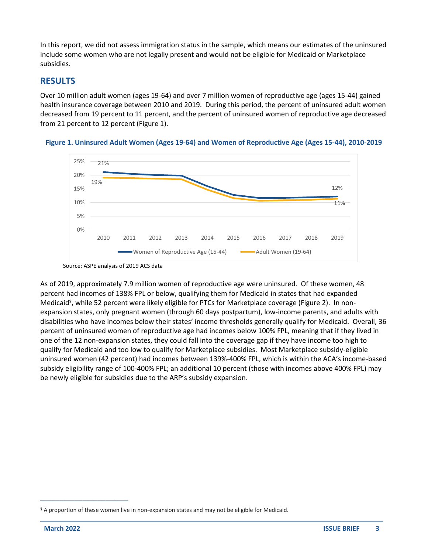In this report, we did not assess immigration status in the sample, which means our estimates of the uninsured include some women who are not legally present and would not be eligible for Medicaid or Marketplace subsidies.

## **RESULTS**

Over 10 million adult women (ages 19-64) and over 7 million women of reproductive age (ages 15-44) gained health insurance coverage between 2010 and 2019. During this period, the percent of uninsured adult women decreased from 19 percent to 11 percent, and the percent of uninsured women of reproductive age decreased from 21 percent to 12 percent (Figure 1).



**Figure 1. Uninsured Adult Women (Ages 19-64) and Women of Reproductive Age (Ages 15-44), 2010-2019**

As of 2019, approximately 7.9 million women of reproductive age were uninsured. Of these women, 48 percent had incomes of 138% FPL or below, qualifying them for Medicaid in states that had expanded Medicaid<sup>§</sup>, while 52 percent were likely eligible for PTCs for Marketplace coverage (Figure 2). In nonexpansion states, only pregnant women (through 60 days postpartum), low-income parents, and adults with disabilities who have incomes below their states' income thresholds generally qualify for Medicaid. Overall, 36 percent of uninsured women of reproductive age had incomes below 100% FPL, meaning that if they lived in one of the 12 non-expansion states, they could fall into the coverage gap if they have income too high to qualify for Medicaid and too low to qualify for Marketplace subsidies. Most Marketplace subsidy-eligible uninsured women (42 percent) had incomes between 139%-400% FPL, which is within the ACA's income-based subsidy eligibility range of 100-400% FPL; an additional 10 percent (those with incomes above 400% FPL) may be newly eligible for subsidies due to the ARP's subsidy expansion.

\_\_\_\_\_\_\_\_\_\_\_\_\_\_\_\_\_\_\_\_\_\_\_

Source: ASPE analysis of 2019 ACS data

<sup>§</sup> A proportion of these women live in non-expansion states and may not be eligible for Medicaid.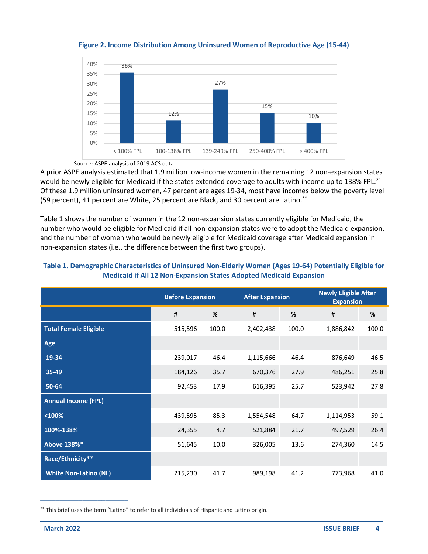

**Figure 2. Income Distribution Among Uninsured Women of Reproductive Age (15-44)**

Source: ASPE analysis of 2019 ACS data

A prior ASPE analysis estimated that 1.9 million low-income women in the remaining 12 non-expansion states would be newly eligible for Medicaid if the states extended coverage to adults with income up to 138% FPL.<sup>21</sup> Of these 1.9 million uninsured women, 47 percent are ages 19-34, most have incomes below the poverty level (59 percent), 41 percent are White, 25 percent are Black, and 30 percent are Latino. \*\*

Table 1 shows the number of women in the 12 non-expansion states currently eligible for Medicaid, the number who would be eligible for Medicaid if all non-expansion states were to adopt the Medicaid expansion, and the number of women who would be newly eligible for Medicaid coverage after Medicaid expansion in non-expansion states (i.e., the difference between the first two groups).

|                              | <b>Before Expansion</b> |       | <b>After Expansion</b> |       | <b>Newly Eligible After</b><br><b>Expansion</b> |       |
|------------------------------|-------------------------|-------|------------------------|-------|-------------------------------------------------|-------|
|                              | #                       | %     | #                      | %     | #                                               | %     |
| <b>Total Female Eligible</b> | 515,596                 | 100.0 | 2,402,438              | 100.0 | 1,886,842                                       | 100.0 |
| Age                          |                         |       |                        |       |                                                 |       |
| 19-34                        | 239,017                 | 46.4  | 1,115,666              | 46.4  | 876,649                                         | 46.5  |
| 35-49                        | 184,126                 | 35.7  | 670,376                | 27.9  | 486,251                                         | 25.8  |
| 50-64                        | 92,453                  | 17.9  | 616,395                | 25.7  | 523,942                                         | 27.8  |
| <b>Annual Income (FPL)</b>   |                         |       |                        |       |                                                 |       |
| $100%$                       | 439,595                 | 85.3  | 1,554,548              | 64.7  | 1,114,953                                       | 59.1  |
| 100%-138%                    | 24,355                  | 4.7   | 521,884                | 21.7  | 497,529                                         | 26.4  |
| Above 138%*                  | 51,645                  | 10.0  | 326,005                | 13.6  | 274,360                                         | 14.5  |
| Race/Ethnicity**             |                         |       |                        |       |                                                 |       |
| <b>White Non-Latino (NL)</b> | 215,230                 | 41.7  | 989,198                | 41.2  | 773,968                                         | 41.0  |

### **Table 1. Demographic Characteristics of Uninsured Non-Elderly Women (Ages 19-64) Potentially Eligible for Medicaid if All 12 Non-Expansion States Adopted Medicaid Expansion**

\_\_\_\_\_\_\_\_\_\_\_\_\_\_\_\_\_\_\_\_\_\_\_

<sup>\*\*</sup> This brief uses the term "Latino" to refer to all individuals of Hispanic and Latino origin.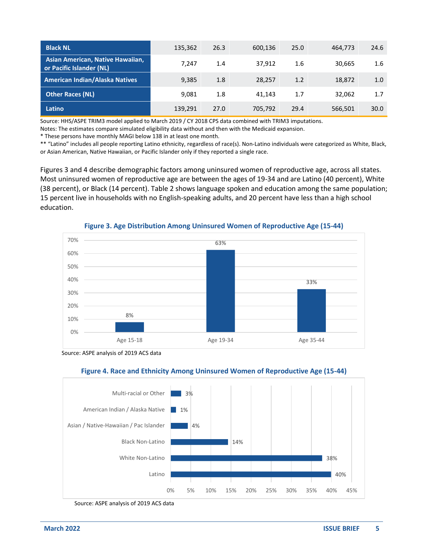| <b>Black NL</b>                                              | 135,362 | 26.3 | 600.136 | 25.0 | 464.773 | 24.6             |
|--------------------------------------------------------------|---------|------|---------|------|---------|------------------|
| Asian American, Native Hawaiian,<br>or Pacific Islander (NL) | 7.247   | 1.4  | 37,912  | 1.6  | 30,665  | $1.6\phantom{0}$ |
| <b>American Indian/Alaska Natives</b>                        | 9,385   | 1.8  | 28,257  | 1.2  | 18,872  | 1.0              |
| <b>Other Races (NL)</b>                                      | 9,081   | 1.8  | 41.143  | 1.7  | 32,062  | 1.7              |
| Latino                                                       | 139,291 | 27.0 | 705,792 | 29.4 | 566,501 | 30.0             |

Source: HHS/ASPE TRIM3 model applied to March 2019 / CY 2018 CPS data combined with TRIM3 imputations.

Notes: The estimates compare simulated eligibility data without and then with the Medicaid expansion.

\* These persons have monthly MAGI below 138 in at least one month.

\*\* "Latino" includes all people reporting Latino ethnicity, regardless of race(s). Non-Latino individuals were categorized as White, Black, or Asian American, Native Hawaiian, or Pacific Islander only if they reported a single race.

Figures 3 and 4 describe demographic factors among uninsured women of reproductive age, across all states. Most uninsured women of reproductive age are between the ages of 19-34 and are Latino (40 percent), White (38 percent), or Black (14 percent). Table 2 shows language spoken and education among the same population; 15 percent live in households with no English-speaking adults, and 20 percent have less than a high school education.



**Figure 3. Age Distribution Among Uninsured Women of Reproductive Age (15-44)**

Source: ASPE analysis of 2019 ACS data





Source: ASPE analysis of 2019 ACS data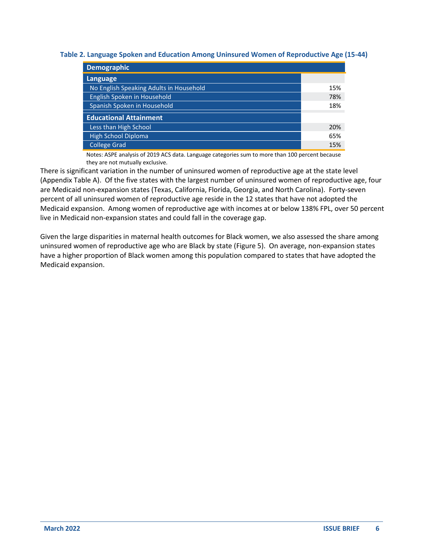| Demographic                             |     |  |  |
|-----------------------------------------|-----|--|--|
| Language                                |     |  |  |
| No English Speaking Adults in Household | 15% |  |  |
| English Spoken in Household             | 78% |  |  |
| Spanish Spoken in Household             | 18% |  |  |
| <b>Educational Attainment</b>           |     |  |  |
| Less than High School                   | 20% |  |  |
| <b>High School Diploma</b>              | 65% |  |  |
| <b>College Grad</b>                     | 15% |  |  |

**Table 2. Language Spoken and Education Among Uninsured Women of Reproductive Age (15-44)**

Notes: ASPE analysis of 2019 ACS data. Language categories sum to more than 100 percent because they are not mutually exclusive.

There is significant variation in the number of uninsured women of reproductive age at the state level (Appendix Table A). Of the five states with the largest number of uninsured women of reproductive age, four are Medicaid non-expansion states (Texas, California, Florida, Georgia, and North Carolina). Forty-seven percent of all uninsured women of reproductive age reside in the 12 states that have not adopted the Medicaid expansion. Among women of reproductive age with incomes at or below 138% FPL, over 50 percent live in Medicaid non-expansion states and could fall in the coverage gap.

Given the large disparities in maternal health outcomes for Black women, we also assessed the share among uninsured women of reproductive age who are Black by state (Figure 5). On average, non-expansion states have a higher proportion of Black women among this population compared to states that have adopted the Medicaid expansion.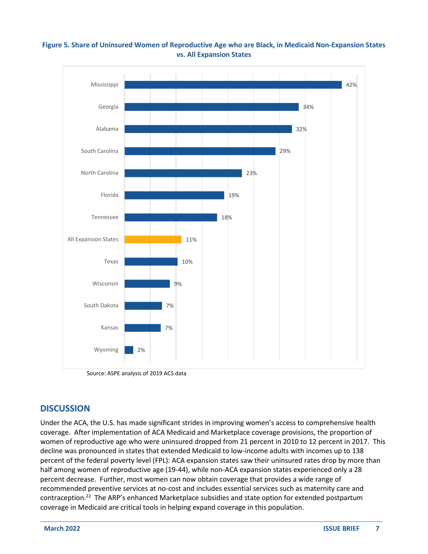## **Figure 5. Share of Uninsured Women of Reproductive Age who are Black, in Medicaid Non-Expansion States vs. All Expansion States**



Source: ASPE analysis of 2019 ACS data

# **DISCUSSION**

Under the ACA, the U.S. has made significant strides in improving women's access to comprehensive health coverage. After implementation of ACA Medicaid and Marketplace coverage provisions, the proportion of women of reproductive age who were uninsured dropped from 21 percent in 2010 to 12 percent in 2017. This decline was pronounced in states that extended Medicaid to low-income adults with incomes up to 138 percent of the federal poverty level (FPL): ACA expansion states saw their uninsured rates drop by more than half among women of reproductive age (19-44), while non-ACA expansion states experienced only a 28 percent decrease. Further, most women can now obtain coverage that provides a wide range of recommended preventive services at no-cost and includes essential services such as maternity care and contraception.<sup>22</sup> The ARP's enhanced Marketplace subsidies and state option for extended postpartum coverage in Medicaid are critical tools in helping expand coverage in this population.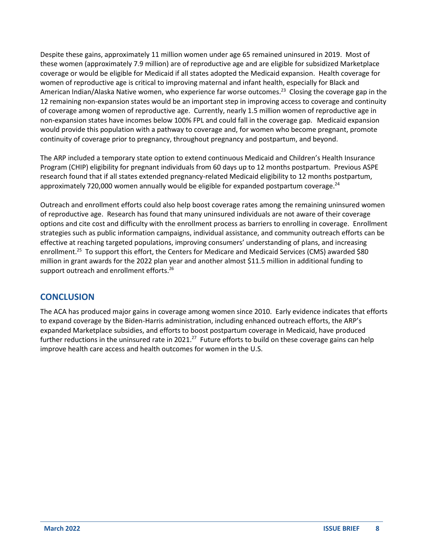Despite these gains, approximately 11 million women under age 65 remained uninsured in 2019. Most of these women (approximately 7.9 million) are of reproductive age and are eligible for subsidized Marketplace coverage or would be eligible for Medicaid if all states adopted the Medicaid expansion. Health coverage for women of reproductive age is critical to improving maternal and infant health, especially for Black and American Indian/Alaska Native women, who experience far worse outcomes.<sup>23</sup> Closing the coverage gap in the 12 remaining non-expansion states would be an important step in improving access to coverage and continuity of coverage among women of reproductive age. Currently, nearly 1.5 million women of reproductive age in non-expansion states have incomes below 100% FPL and could fall in the coverage gap. Medicaid expansion would provide this population with a pathway to coverage and, for women who become pregnant, promote continuity of coverage prior to pregnancy, throughout pregnancy and postpartum, and beyond.

The ARP included a temporary state option to extend continuous Medicaid and Children's Health Insurance Program (CHIP) eligibility for pregnant individuals from 60 days up to 12 months postpartum. Previous ASPE research found that if all states extended pregnancy-related Medicaid eligibility to 12 months postpartum, approximately 720,000 women annually would be eligible for expanded postpartum coverage.<sup>24</sup>

Outreach and enrollment efforts could also help boost coverage rates among the remaining uninsured women of reproductive age. Research has found that many uninsured individuals are not aware of their coverage options and cite cost and difficulty with the enrollment process as barriers to enrolling in coverage. Enrollment strategies such as public information campaigns, individual assistance, and community outreach efforts can be effective at reaching targeted populations, improving consumers' understanding of plans, and increasing enrollment.<sup>25</sup> To support this effort, the Centers for Medicare and Medicaid Services (CMS) awarded \$80 million in grant awards for the 2022 plan year and another almost \$11.5 million in additional funding to support outreach and enrollment efforts.<sup>26</sup>

# **CONCLUSION**

The ACA has produced major gains in coverage among women since 2010. Early evidence indicates that efforts to expand coverage by the Biden-Harris administration, including enhanced outreach efforts, the ARP's expanded Marketplace subsidies, and efforts to boost postpartum coverage in Medicaid, have produced further reductions in the uninsured rate in 2021.<sup>27</sup> Future efforts to build on these coverage gains can help improve health care access and health outcomes for women in the U.S.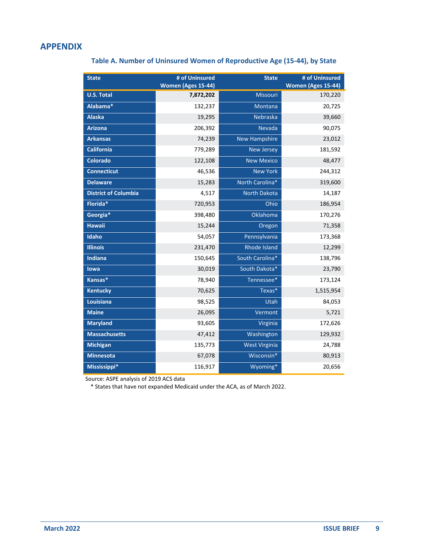# **APPENDIX**

## **Table A. Number of Uninsured Women of Reproductive Age (15-44), by State**

| <b>State</b>                | # of Uninsured<br>Women (Ages 15-44) | <b>State</b>         | # of Uninsured<br>Women (Ages 15-44) |
|-----------------------------|--------------------------------------|----------------------|--------------------------------------|
| <b>U.S. Total</b>           | 7,872,202                            | Missouri             | 170,220                              |
| Alabama*                    | 132,237                              | Montana              | 20,725                               |
| <b>Alaska</b>               | 19,295                               | Nebraska             | 39,660                               |
| <b>Arizona</b>              | 206,392                              | <b>Nevada</b>        | 90,075                               |
| <b>Arkansas</b>             | 74,239                               | <b>New Hampshire</b> | 23,012                               |
| <b>California</b>           | 779,289                              | <b>New Jersey</b>    | 181,592                              |
| <b>Colorado</b>             | 122,108                              | <b>New Mexico</b>    | 48,477                               |
| <b>Connecticut</b>          | 46,536                               | <b>New York</b>      | 244,312                              |
| <b>Delaware</b>             | 15,283                               | North Carolina*      | 319,600                              |
| <b>District of Columbia</b> | 4,517                                | <b>North Dakota</b>  | 14,187                               |
| Florida*                    | 720,953                              | Ohio                 | 186,954                              |
| Georgia*                    | 398,480                              | Oklahoma             | 170,276                              |
| <b>Hawaii</b>               | 15,244                               | Oregon               | 71,358                               |
| <b>Idaho</b>                | 54,057                               | Pennsylvania         | 173,368                              |
| <b>Illinois</b>             | 231,470                              | Rhode Island         | 12,299                               |
| Indiana                     | 150,645                              | South Carolina*      | 138,796                              |
| lowa                        | 30,019                               | South Dakota*        | 23,790                               |
| Kansas*                     | 78,940                               | Tennessee*           | 173,124                              |
| <b>Kentucky</b>             | 70,625                               | Texas*               | 1,515,954                            |
| Louisiana                   | 98,525                               | Utah                 | 84,053                               |
| <b>Maine</b>                | 26,095                               | Vermont              | 5,721                                |
| <b>Maryland</b>             | 93,605                               | Virginia             | 172,626                              |
| <b>Massachusetts</b>        | 47,412                               | Washington           | 129,932                              |
| <b>Michigan</b>             | 135,773                              | <b>West Virginia</b> | 24,788                               |
| <b>Minnesota</b>            | 67,078                               | Wisconsin*           | 80,913                               |
| Mississippi*                | 116,917                              | Wyoming*             | 20,656                               |

Source: ASPE analysis of 2019 ACS data

\* States that have not expanded Medicaid under the ACA, as of March 2022.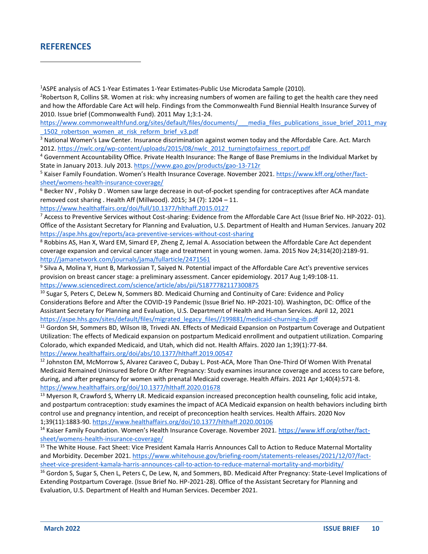## **REFERENCES**

<sup>1</sup>ASPE analysis of ACS 1-Year Estimates 1-Year Estimates-Public Use Microdata Sample (2010).

<sup>2</sup>Robertson R, Collins SR. Women at risk: why increasing numbers of women are failing to get the health care they need and how the Affordable Care Act will help. Findings from the Commonwealth Fund Biennial Health Insurance Survey of 2010. Issue brief (Commonwealth Fund). 2011 May 1;3:1-24.

https://www.commonwealthfund.org/sites/default/files/documents/\_\_\_\_media\_files\_publications\_issue\_brief\_2011\_may 1502 robertson women at risk reform brief v3.pdf

<sup>3</sup> National Women's Law Center. Insurance discrimination against women today and the Affordable Care. Act. March 2012[. https://nwlc.org/wp-content/uploads/2015/08/nwlc\\_2012\\_turningtofairness\\_report.pdf](https://nwlc.org/wp-content/uploads/2015/08/nwlc_2012_turningtofairness_report.pdf)

<sup>4</sup> Government Accountability Office. Private Health Insurance: The Range of Base Premiums in the Individual Market by State in January 2013. July 2013. <https://www.gao.gov/products/gao-13-712r>

<sup>5</sup> Kaiser Family Foundation. Women's Health Insurance Coverage. November 2021. [https://www.kff.org/other/fact](https://www.kff.org/other/fact-sheet/womens-health-insurance-coverage/)[sheet/womens-health-insurance-coverage/](https://www.kff.org/other/fact-sheet/womens-health-insurance-coverage/)

 $6$  Becker NV, Polsky D. Women saw large decrease in out-of-pocket spending for contraceptives after ACA mandate removed cost sharing . Health Aff (Millwood). 2015; 34 (7): 1204 – 11.

<https://www.healthaffairs.org/doi/full/10.1377/hlthaff.2015.0127>

 $7$  Access to Preventive Services without Cost-sharing: Evidence from the Affordable Care Act (Issue Brief No. HP-2022-01). Office of the Assistant Secretary for Planning and Evaluation, U.S. Department of Health and Human Services. January 202 <https://aspe.hhs.gov/reports/aca-preventive-services-without-cost-sharing>

<sup>8</sup> Robbins AS, Han X, Ward EM, Simard EP, Zheng Z, Jemal A. Association between the Affordable Care Act dependent coverage expansion and cervical cancer stage and treatment in young women. Jama. 2015 Nov 24;314(20):2189-91. <http://jamanetwork.com/journals/jama/fullarticle/2471561>

9 Silva A, Molina Y, Hunt B, Markossian T, Saiyed N. Potential impact of the Affordable Care Act's preventive services provision on breast cancer stage: a preliminary assessment. Cancer epidemiology. 2017 Aug 1;49:108-11. <https://www.sciencedirect.com/science/article/abs/pii/S1877782117300875>

<sup>10</sup> Sugar S, Peters C, DeLew N, Sommers BD. Medicaid Churning and Continuity of Care: Evidence and Policy Considerations Before and After the COVID-19 Pandemic (Issue Brief No. HP-2021-10). Washington, DC: Office of the Assistant Secretary for Planning and Evaluation, U.S. Department of Health and Human Services. April 12, 2021 [https://aspe.hhs.gov/sites/default/files/migrated\\_legacy\\_files//199881/medicaid-churning-ib.pdf](https://aspe.hhs.gov/sites/default/files/migrated_legacy_files/199881/medicaid-churning-ib.pdf)

<sup>11</sup> Gordon SH, Sommers BD, Wilson IB, Trivedi AN. Effects of Medicaid Expansion on Postpartum Coverage and Outpatient Utilization: The effects of Medicaid expansion on postpartum Medicaid enrollment and outpatient utilization. Comparing Colorado, which expanded Medicaid, and Utah, which did not. Health Affairs. 2020 Jan 1;39(1):77-84. <https://www.healthaffairs.org/doi/abs/10.1377/hlthaff.2019.00547>

<sup>12</sup> Johnston EM, McMorrow S, Alvarez Caraveo C, Dubay L. Post-ACA, More Than One-Third Of Women With Prenatal Medicaid Remained Uninsured Before Or After Pregnancy: Study examines insurance coverage and access to care before, during, and after pregnancy for women with prenatal Medicaid coverage. Health Affairs. 2021 Apr 1;40(4):571-8. <https://www.healthaffairs.org/doi/10.1377/hlthaff.2020.01678>

<sup>13</sup> Myerson R, Crawford S, Wherry LR. Medicaid expansion increased preconception health counseling, folic acid intake, and postpartum contraception: study examines the impact of ACA Medicaid expansion on health behaviors including birth control use and pregnancy intention, and receipt of preconception health services. Health Affairs. 2020 Nov 1;39(11):1883-90. <https://www.healthaffairs.org/doi/10.1377/hlthaff.2020.00106>

<sup>14</sup> Kaiser Family Foundation. Women's Health Insurance Coverage. November 2021. [https://www.kff.org/other/fact](https://www.kff.org/other/fact-sheet/womens-health-insurance-coverage/)[sheet/womens-health-insurance-coverage/](https://www.kff.org/other/fact-sheet/womens-health-insurance-coverage/)

<sup>15</sup> The White House. Fact Sheet: Vice President Kamala Harris Announces Call to Action to Reduce Maternal Mortality and Morbidity. December 2021[. https://www.whitehouse.gov/briefing-room/statements-releases/2021/12/07/fact](https://www.whitehouse.gov/briefing-room/statements-releases/2021/12/07/fact-sheet-vice-president-kamala-harris-announces-call-to-action-to-reduce-maternal-mortality-and-morbidity/)[sheet-vice-president-kamala-harris-announces-call-to-action-to-reduce-maternal-mortality-and-morbidity/](https://www.whitehouse.gov/briefing-room/statements-releases/2021/12/07/fact-sheet-vice-president-kamala-harris-announces-call-to-action-to-reduce-maternal-mortality-and-morbidity/)

<sup>16</sup> Gordon S, Sugar S, Chen L, Peters C, De Lew, N, and Sommers, BD. Medicaid After Pregnancy: State-Level Implications of Extending Postpartum Coverage. (Issue Brief No. HP-2021-28). Office of the Assistant Secretary for Planning and Evaluation, U.S. Department of Health and Human Services. December 2021.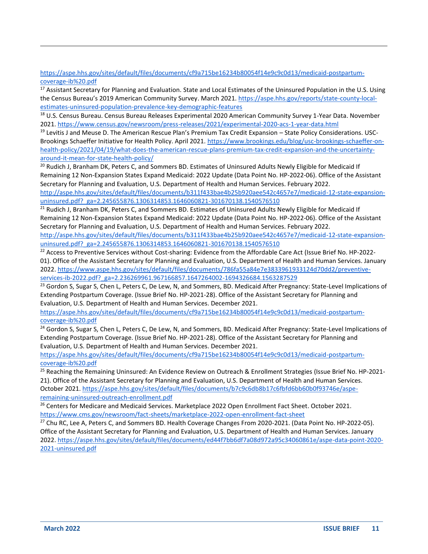#### [https://aspe.hhs.gov/sites/default/files/documents/cf9a715be16234b80054f14e9c9c0d13/medicaid-postpartum](https://aspe.hhs.gov/sites/default/files/documents/cf9a715be16234b80054f14e9c9c0d13/medicaid-postpartum-coverage-ib%20.pdf)[coverage-ib%20.pdf](https://aspe.hhs.gov/sites/default/files/documents/cf9a715be16234b80054f14e9c9c0d13/medicaid-postpartum-coverage-ib%20.pdf)

<sup>17</sup> Assistant Secretary for Planning and Evaluation. State and Local Estimates of the Uninsured Population in the U.S. Using the Census Bureau's 2019 American Community Survey. March 2021. [https://aspe.hhs.gov/reports/state-county-local](https://aspe.hhs.gov/reports/state-county-local-estimates-uninsured-population-prevalence-key-demographic-features)[estimates-uninsured-population-prevalence-key-demographic-features](https://aspe.hhs.gov/reports/state-county-local-estimates-uninsured-population-prevalence-key-demographic-features)

<sup>18</sup> U.S. Census Bureau. Census Bureau Releases Experimental 2020 American Community Survey 1-Year Data. November 2021[. https://www.census.gov/newsroom/press-releases/2021/experimental-2020-acs-1-year-data.html](https://www.census.gov/newsroom/press-releases/2021/experimental-2020-acs-1-year-data.html)

 $19$  Levitis J and Meuse D. The American Rescue Plan's Premium Tax Credit Expansion – State Policy Considerations. USC-Brookings Schaeffer Initiative for Health Policy. April 2021. [https://www.brookings.edu/blog/usc-brookings-schaeffer-on](https://www.brookings.edu/blog/usc-brookings-schaeffer-on-health-policy/2021/04/19/what-does-the-american-rescue-plans-premium-tax-credit-expansion-and-the-uncertainty-around-it-mean-for-state-health-policy/)[health-policy/2021/04/19/what-does-the-american-rescue-plans-premium-tax-credit-expansion-and-the-uncertainty](https://www.brookings.edu/blog/usc-brookings-schaeffer-on-health-policy/2021/04/19/what-does-the-american-rescue-plans-premium-tax-credit-expansion-and-the-uncertainty-around-it-mean-for-state-health-policy/)[around-it-mean-for-state-health-policy/](https://www.brookings.edu/blog/usc-brookings-schaeffer-on-health-policy/2021/04/19/what-does-the-american-rescue-plans-premium-tax-credit-expansion-and-the-uncertainty-around-it-mean-for-state-health-policy/)

<sup>20</sup> Rudich J, Branham DK, Peters C, and Sommers BD. Estimates of Uninsured Adults Newly Eligible for Medicaid If Remaining 12 Non-Expansion States Expand Medicaid: 2022 Update (Data Point No. HP-2022-06). Office of the Assistant Secretary for Planning and Evaluation, U.S. Department of Health and Human Services. February 2022.

[http://aspe.hhs.gov/sites/default/files/documents/b311f433bae4b25b920aee542c4657e7/medicaid-12-state-expansion](http://aspe.hhs.gov/sites/default/files/documents/b311f433bae4b25b920aee542c4657e7/medicaid-12-state-expansion-uninsured.pdf?_ga=2.245655876.1306314853.1646060821-301670138.1540576510)uninsured.pdf? ga=2.245655876.1306314853.1646060821-301670138.1540576510

<sup>21</sup> Rudich J, Branham DK, Peters C, and Sommers BD. Estimates of Uninsured Adults Newly Eligible for Medicaid If Remaining 12 Non-Expansion States Expand Medicaid: 2022 Update (Data Point No. HP-2022-06). Office of the Assistant Secretary for Planning and Evaluation, U.S. Department of Health and Human Services. February 2022.

[http://aspe.hhs.gov/sites/default/files/documents/b311f433bae4b25b920aee542c4657e7/medicaid-12-state-expansion](http://aspe.hhs.gov/sites/default/files/documents/b311f433bae4b25b920aee542c4657e7/medicaid-12-state-expansion-uninsured.pdf?_ga=2.245655876.1306314853.1646060821-301670138.1540576510)[uninsured.pdf?\\_ga=2.245655876.1306314853.1646060821-301670138.1540576510](http://aspe.hhs.gov/sites/default/files/documents/b311f433bae4b25b920aee542c4657e7/medicaid-12-state-expansion-uninsured.pdf?_ga=2.245655876.1306314853.1646060821-301670138.1540576510)

<sup>22</sup> Access to Preventive Services without Cost-sharing: Evidence from the Affordable Care Act (Issue Brief No. HP-2022-01). Office of the Assistant Secretary for Planning and Evaluation, U.S. Department of Health and Human Services. January 2022. [https://www.aspe.hhs.gov/sites/default/files/documents/786fa55a84e7e3833961933124d70dd2/preventive](https://www.aspe.hhs.gov/sites/default/files/documents/786fa55a84e7e3833961933124d70dd2/preventive-services-ib-2022.pdf?_ga=2.236269961.967166857.1647264002-1694326684.1563287529)[services-ib-2022.pdf?\\_ga=2.236269961.967166857.1647264002-1694326684.1563287529](https://www.aspe.hhs.gov/sites/default/files/documents/786fa55a84e7e3833961933124d70dd2/preventive-services-ib-2022.pdf?_ga=2.236269961.967166857.1647264002-1694326684.1563287529)

<sup>23</sup> Gordon S, Sugar S, Chen L, Peters C, De Lew, N, and Sommers, BD. Medicaid After Pregnancy: State-Level Implications of Extending Postpartum Coverage. (Issue Brief No. HP-2021-28). Office of the Assistant Secretary for Planning and Evaluation, U.S. Department of Health and Human Services. December 2021.

[https://aspe.hhs.gov/sites/default/files/documents/cf9a715be16234b80054f14e9c9c0d13/medicaid-postpartum](https://aspe.hhs.gov/sites/default/files/documents/cf9a715be16234b80054f14e9c9c0d13/medicaid-postpartum-coverage-ib%20.pdf)[coverage-ib%20.pdf](https://aspe.hhs.gov/sites/default/files/documents/cf9a715be16234b80054f14e9c9c0d13/medicaid-postpartum-coverage-ib%20.pdf)

<sup>24</sup> Gordon S, Sugar S, Chen L, Peters C, De Lew, N, and Sommers, BD. Medicaid After Pregnancy: State-Level Implications of Extending Postpartum Coverage. (Issue Brief No. HP-2021-28). Office of the Assistant Secretary for Planning and Evaluation, U.S. Department of Health and Human Services. December 2021.

[https://aspe.hhs.gov/sites/default/files/documents/cf9a715be16234b80054f14e9c9c0d13/medicaid-postpartum](https://aspe.hhs.gov/sites/default/files/documents/cf9a715be16234b80054f14e9c9c0d13/medicaid-postpartum-coverage-ib%20.pdf)[coverage-ib%20.pdf](https://aspe.hhs.gov/sites/default/files/documents/cf9a715be16234b80054f14e9c9c0d13/medicaid-postpartum-coverage-ib%20.pdf)

<sup>25</sup> Reaching the Remaining Uninsured: An Evidence Review on Outreach & Enrollment Strategies (Issue Brief No. HP-2021-21). Office of the Assistant Secretary for Planning and Evaluation, U.S. Department of Health and Human Services. October 2021. [https://aspe.hhs.gov/sites/default/files/documents/b7c9c6db8b17c6fbfd6bb60b0f93746e/aspe](https://aspe.hhs.gov/sites/default/files/documents/b7c9c6db8b17c6fbfd6bb60b0f93746e/aspe-remaining-uninsured-outreach-enrollment.pdf)[remaining-uninsured-outreach-enrollment.pdf](https://aspe.hhs.gov/sites/default/files/documents/b7c9c6db8b17c6fbfd6bb60b0f93746e/aspe-remaining-uninsured-outreach-enrollment.pdf)

<sup>26</sup> Centers for Medicare and Medicaid Services. Marketplace 2022 Open Enrollment Fact Sheet. October 2021. <https://www.cms.gov/newsroom/fact-sheets/marketplace-2022-open-enrollment-fact-sheet>

<sup>27</sup> Chu RC, Lee A, Peters C, and Sommers BD. Health Coverage Changes From 2020-2021. (Data Point No. HP-2022-05). Office of the Assistant Secretary for Planning and Evaluation, U.S. Department of Health and Human Services. January 2022. [https://aspe.hhs.gov/sites/default/files/documents/ed44f7bb6df7a08d972a95c34060861e/aspe-data-point-2020-](https://aspe.hhs.gov/sites/default/files/documents/ed44f7bb6df7a08d972a95c34060861e/aspe-data-point-2020-2021-uninsured.pdf) [2021-uninsured.pdf](https://aspe.hhs.gov/sites/default/files/documents/ed44f7bb6df7a08d972a95c34060861e/aspe-data-point-2020-2021-uninsured.pdf)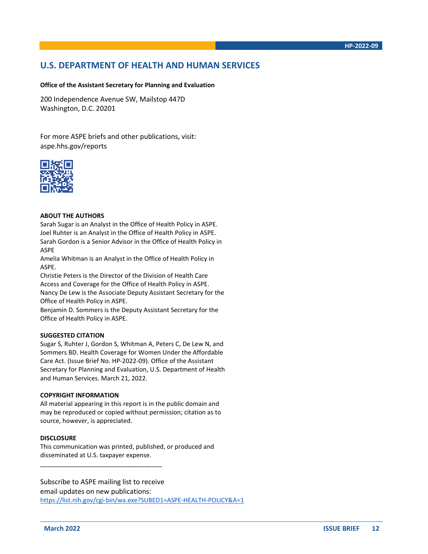## **U.S. DEPARTMENT OF HEALTH AND HUMAN SERVICES**

#### **Office of the Assistant Secretary for Planning and Evaluation**

200 Independence Avenue SW, Mailstop 447D Washington, D.C. 20201

For more ASPE briefs and other publications, visit: aspe.hhs.gov/reports



#### **ABOUT THE AUTHORS**

Sarah Sugar is an Analyst in the Office of Health Policy in ASPE. Joel Ruhter is an Analyst in the Office of Health Policy in ASPE. Sarah Gordon is a Senior Advisor in the Office of Health Policy in ASPE

Amelia Whitman is an Analyst in the Office of Health Policy in ASPE.

Christie Peters is the Director of the Division of Health Care Access and Coverage for the Office of Health Policy in ASPE. Nancy De Lew is the Associate Deputy Assistant Secretary for the Office of Health Policy in ASPE.

Benjamin D. Sommers is the Deputy Assistant Secretary for the Office of Health Policy in ASPE.

#### **SUGGESTED CITATION**

Sugar S, Ruhter J, Gordon S, Whitman A, Peters C, De Lew N, and Sommers BD. Health Coverage for Women Under the Affordable Care Act. (Issue Brief No. HP-2022-09). Office of the Assistant Secretary for Planning and Evaluation, U.S. Department of Health and Human Services. March 21, 2022.

#### **COPYRIGHT INFORMATION**

All material appearing in this report is in the public domain and may be reproduced or copied without permission; citation as to source, however, is appreciated.

#### **DISCLOSURE**

This communication was printed, published, or produced and disseminated at U.S. taxpayer expense.

\_\_\_\_\_\_\_\_\_\_\_\_\_\_\_\_\_\_\_\_\_\_\_\_\_\_\_\_\_\_\_\_\_\_\_

Subscribe to ASPE mailing list to receive email updates on new publications: https://list.nih.gov/cgi-bin/wa.exe?SUBED1=ASPE-HEALTH-POLICY&A=1